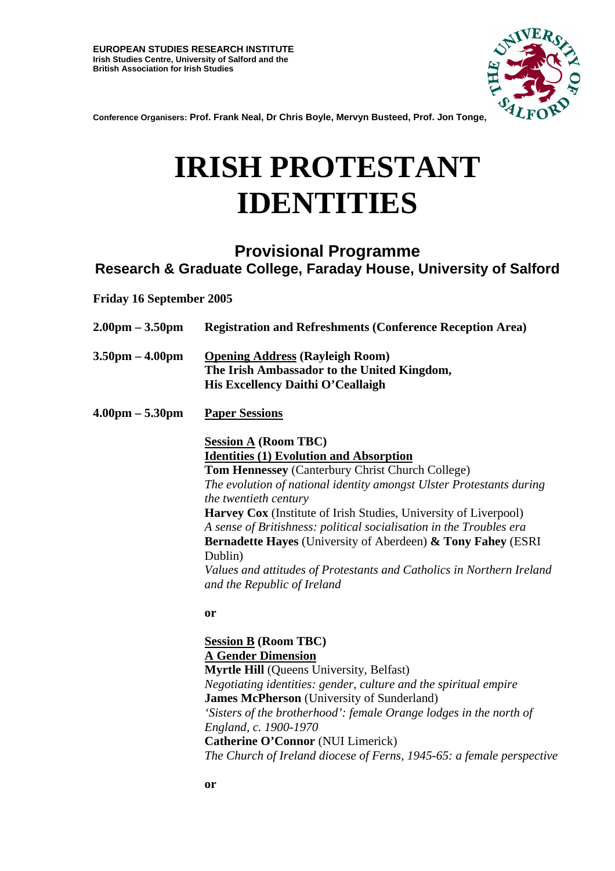

**Conference Organisers: Prof. Frank Neal, Dr Chris Boyle, Mervyn Busteed, Prof. Jon Tonge,**

# **IRISH PROTESTANT IDENTITIES**

# **Provisional Programme Research & Graduate College, Faraday House, University of Salford**

**Friday 16 September 2005** 

| $2.00 \text{pm} - 3.50 \text{pm}$ | <b>Registration and Refreshments (Conference Reception Area)</b>                                                                                                                                                                                                                                                                                                                                                                                                                                                                                                               |
|-----------------------------------|--------------------------------------------------------------------------------------------------------------------------------------------------------------------------------------------------------------------------------------------------------------------------------------------------------------------------------------------------------------------------------------------------------------------------------------------------------------------------------------------------------------------------------------------------------------------------------|
| $3.50 \text{pm} - 4.00 \text{pm}$ | <b>Opening Address (Rayleigh Room)</b><br>The Irish Ambassador to the United Kingdom,<br>His Excellency Daithi O'Ceallaigh                                                                                                                                                                                                                                                                                                                                                                                                                                                     |
| $4.00 \text{pm} - 5.30 \text{pm}$ | <b>Paper Sessions</b>                                                                                                                                                                                                                                                                                                                                                                                                                                                                                                                                                          |
|                                   | <b>Session A (Room TBC)</b><br><b>Identities (1) Evolution and Absorption</b><br>Tom Hennessey (Canterbury Christ Church College)<br>The evolution of national identity amongst Ulster Protestants during<br>the twentieth century<br><b>Harvey Cox</b> (Institute of Irish Studies, University of Liverpool)<br>A sense of Britishness: political socialisation in the Troubles era<br><b>Bernadette Hayes</b> (University of Aberdeen) & Tony Fahey (ESRI<br>Dublin)<br>Values and attitudes of Protestants and Catholics in Northern Ireland<br>and the Republic of Ireland |
|                                   | or<br><b>Session B (Room TBC)</b><br><b>A Gender Dimension</b><br><b>Myrtle Hill (Queens University, Belfast)</b><br>Negotiating identities: gender, culture and the spiritual empire<br><b>James McPherson</b> (University of Sunderland)<br>'Sisters of the brotherhood': female Orange lodges in the north of<br>England, c. 1900-1970                                                                                                                                                                                                                                      |

**Catherine O'Connor** (NUI Limerick) *The Church of Ireland diocese of Ferns, 1945-65: a female perspective*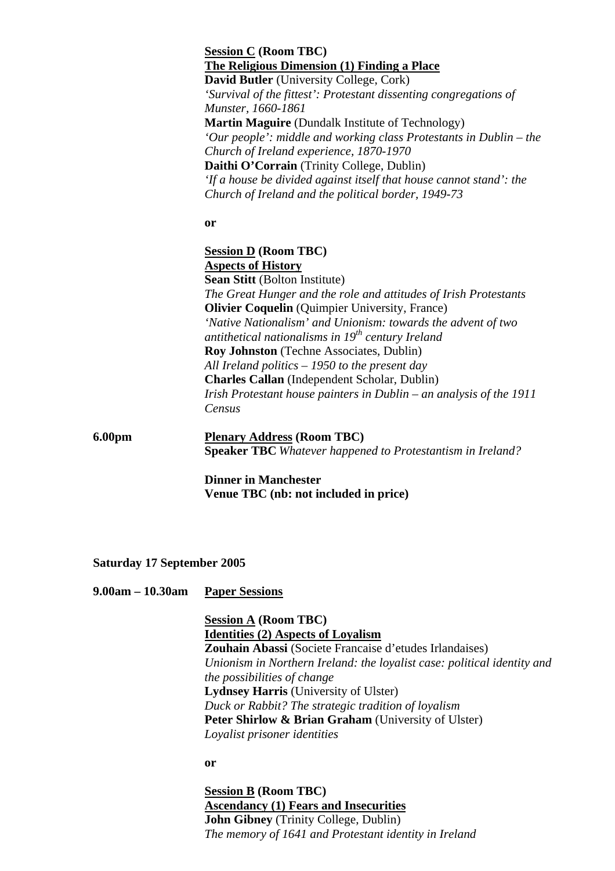**Session C (Room TBC) The Religious Dimension (1) Finding a Place David Butler** (University College, Cork) *'Survival of the fittest': Protestant dissenting congregations of Munster, 1660-1861*  **Martin Maguire** (Dundalk Institute of Technology) *'Our people': middle and working class Protestants in Dublin – the Church of Ireland experience, 1870-1970*  **Daithi O'Corrain** (Trinity College, Dublin) *'If a house be divided against itself that house cannot stand': the Church of Ireland and the political border, 1949-73* 

**or** 

**Session D (Room TBC) Aspects of History Sean Stitt** (Bolton Institute) *The Great Hunger and the role and attitudes of Irish Protestants*  **Olivier Coquelin** (Quimpier University, France) *'Native Nationalism' and Unionism: towards the advent of two antithetical nationalisms in 19th century Ireland*  **Roy Johnston** (Techne Associates, Dublin) *All Ireland politics – 1950 to the present day* **Charles Callan** (Independent Scholar, Dublin) *Irish Protestant house painters in Dublin – an analysis of the 1911 Census* 

**6.00pm Plenary Address (Room TBC) Speaker TBC** *Whatever happened to Protestantism in Ireland?* 

> **Dinner in Manchester Venue TBC (nb: not included in price)**

**Saturday 17 September 2005** 

**9.00am – 10.30am Paper Sessions**

**Session A (Room TBC) Identities (2) Aspects of Loyalism Zouhain Abassi** (Societe Francaise d'etudes Irlandaises) *Unionism in Northern Ireland: the loyalist case: political identity and the possibilities of change*  **Lydnsey Harris** (University of Ulster) *Duck or Rabbit? The strategic tradition of loyalism*  **Peter Shirlow & Brian Graham** (University of Ulster) *Loyalist prisoner identities*

**or** 

**Session B (Room TBC) Ascendancy (1) Fears and Insecurities John Gibney** (Trinity College, Dublin) *The memory of 1641 and Protestant identity in Ireland*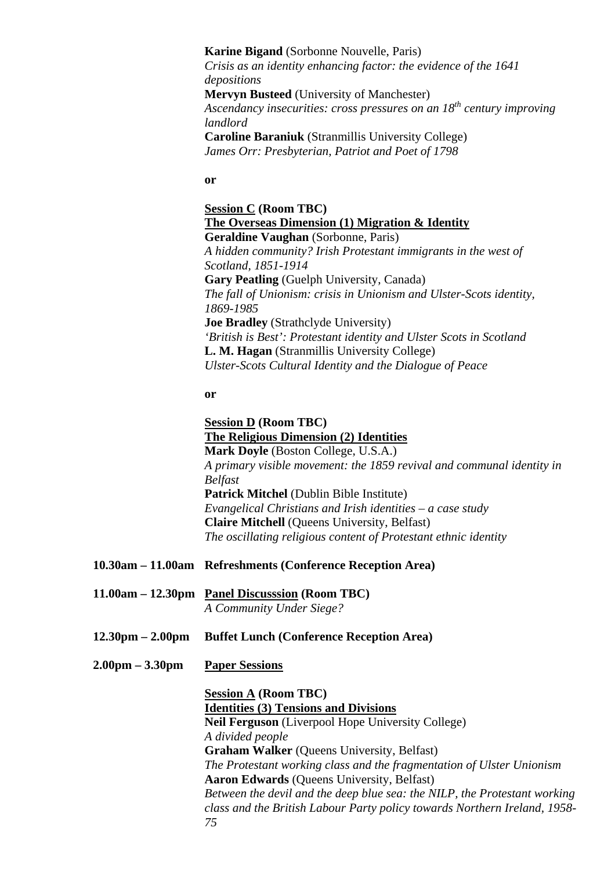## **Karine Bigand** (Sorbonne Nouvelle, Paris)

*Crisis as an identity enhancing factor: the evidence of the 1641 depositions* 

**Mervyn Busteed** (University of Manchester) *Ascendancy insecurities: cross pressures on an 18th century improving landlord* 

**Caroline Baraniuk** (Stranmillis University College) *James Orr: Presbyterian, Patriot and Poet of 1798* 

**or** 

**Session C (Room TBC) The Overseas Dimension (1) Migration & Identity Geraldine Vaughan** (Sorbonne, Paris) *A hidden community? Irish Protestant immigrants in the west of Scotland, 1851-1914*  **Gary Peatling** (Guelph University, Canada) *The fall of Unionism: crisis in Unionism and Ulster-Scots identity, 1869-1985*  **Joe Bradley** (Strathclyde University) *'British is Best': Protestant identity and Ulster Scots in Scotland*  **L. M. Hagan** (Stranmillis University College) *Ulster-Scots Cultural Identity and the Dialogue of Peace* 

#### **or**

**Session D (Room TBC) The Religious Dimension (2) Identities Mark Doyle** (Boston College, U.S.A.) *A primary visible movement: the 1859 revival and communal identity in Belfast*  **Patrick Mitchel** (Dublin Bible Institute) *Evangelical Christians and Irish identities – a case study*  **Claire Mitchell** (Queens University, Belfast) *The oscillating religious content of Protestant ethnic identity* 

- **10.30am 11.00am Refreshments (Conference Reception Area)**
- **11.00am 12.30pm Panel Discusssion (Room TBC)** *A Community Under Siege?*
- **12.30pm 2.00pm Buffet Lunch (Conference Reception Area)**
- **2.00pm 3.30pm Paper Sessions**

**Session A (Room TBC) Identities (3) Tensions and Divisions Neil Ferguson** (Liverpool Hope University College) *A divided people*  **Graham Walker** (Queens University, Belfast) *The Protestant working class and the fragmentation of Ulster Unionism*   **Aaron Edwards** (Queens University, Belfast) *Between the devil and the deep blue sea: the NILP, the Protestant working class and the British Labour Party policy towards Northern Ireland, 1958- 75*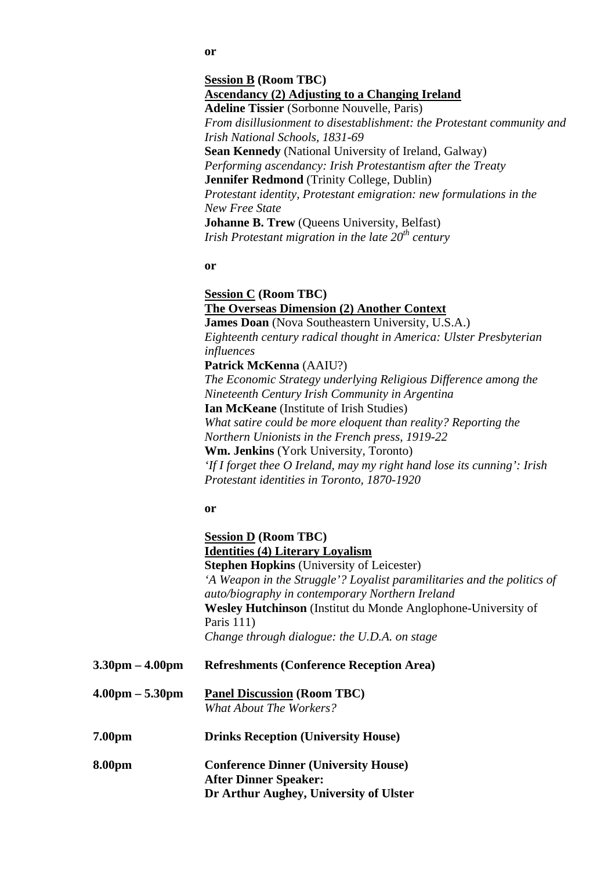# **Session B (Room TBC) Ascendancy (2) Adjusting to a Changing Ireland Adeline Tissier** (Sorbonne Nouvelle, Paris) *From disillusionment to disestablishment: the Protestant community and*

*Irish National Schools, 1831-69* **Sean Kennedy** (National University of Ireland, Galway) *Performing ascendancy: Irish Protestantism after the Treaty*  **Jennifer Redmond** (Trinity College, Dublin) *Protestant identity, Protestant emigration: new formulations in the New Free State*  **Johanne B. Trew** (Queens University, Belfast) *Irish Protestant migration in the late 20th century* 

## **or**

**Session C (Room TBC) The Overseas Dimension (2) Another Context James Doan** (Nova Southeastern University, U.S.A.) *Eighteenth century radical thought in America: Ulster Presbyterian influences*  **Patrick McKenna** (AAIU?) *The Economic Strategy underlying Religious Difference among the Nineteenth Century Irish Community in Argentina*  **Ian McKeane** (Institute of Irish Studies) *What satire could be more eloquent than reality? Reporting the Northern Unionists in the French press, 1919-22*  **Wm. Jenkins** (York University, Toronto) *'If I forget thee O Ireland, may my right hand lose its cunning': Irish Protestant identities in Toronto, 1870-1920*  **or Session D (Room TBC) Identities (4) Literary Loyalism Stephen Hopkins** (University of Leicester) *'A Weapon in the Struggle'? Loyalist paramilitaries and the politics of auto/biography in contemporary Northern Ireland*  **Wesley Hutchinson** (Institut du Monde Anglophone-University of Paris 111) *Change through dialogue: the U.D.A. on stage*  **3.30pm – 4.00pm Refreshments (Conference Reception Area) 4.00pm – 5.30pm Panel Discussion (Room TBC)** *What About The Workers?*  **7.00pm Drinks Reception (University House)** 

**8.00pm Conference Dinner (University House) After Dinner Speaker: Dr Arthur Aughey, University of Ulster** 

#### **or**